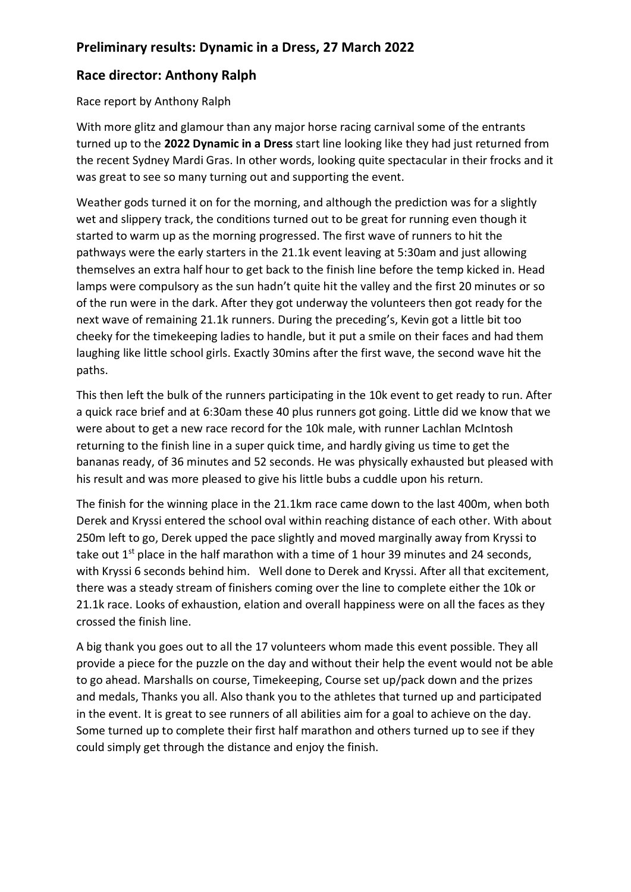## **Race director: Anthony Ralph**

Race report by Anthony Ralph

With more glitz and glamour than any major horse racing carnival some of the entrants turned up to the **2022 Dynamic in a Dress** start line looking like they had just returned from the recent Sydney Mardi Gras. In other words, looking quite spectacular in their frocks and it was great to see so many turning out and supporting the event.

Weather gods turned it on for the morning, and although the prediction was for a slightly wet and slippery track, the conditions turned out to be great for running even though it started to warm up as the morning progressed. The first wave of runners to hit the pathways were the early starters in the 21.1k event leaving at 5:30am and just allowing themselves an extra half hour to get back to the finish line before the temp kicked in. Head lamps were compulsory as the sun hadn't quite hit the valley and the first 20 minutes or so of the run were in the dark. After they got underway the volunteers then got ready for the next wave of remaining 21.1k runners. During the preceding's, Kevin got a little bit too cheeky for the timekeeping ladies to handle, but it put a smile on their faces and had them laughing like little school girls. Exactly 30mins after the first wave, the second wave hit the paths.

This then left the bulk of the runners participating in the 10k event to get ready to run. After a quick race brief and at 6:30am these 40 plus runners got going. Little did we know that we were about to get a new race record for the 10k male, with runner Lachlan McIntosh returning to the finish line in a super quick time, and hardly giving us time to get the bananas ready, of 36 minutes and 52 seconds. He was physically exhausted but pleased with his result and was more pleased to give his little bubs a cuddle upon his return.

The finish for the winning place in the 21.1km race came down to the last 400m, when both Derek and Kryssi entered the school oval within reaching distance of each other. With about 250m left to go, Derek upped the pace slightly and moved marginally away from Kryssi to take out  $1^{st}$  place in the half marathon with a time of 1 hour 39 minutes and 24 seconds, with Kryssi 6 seconds behind him. Well done to Derek and Kryssi. After all that excitement, there was a steady stream of finishers coming over the line to complete either the 10k or 21.1k race. Looks of exhaustion, elation and overall happiness were on all the faces as they crossed the finish line.

A big thank you goes out to all the 17 volunteers whom made this event possible. They all provide a piece for the puzzle on the day and without their help the event would not be able to go ahead. Marshalls on course, Timekeeping, Course set up/pack down and the prizes and medals, Thanks you all. Also thank you to the athletes that turned up and participated in the event. It is great to see runners of all abilities aim for a goal to achieve on the day. Some turned up to complete their first half marathon and others turned up to see if they could simply get through the distance and enjoy the finish.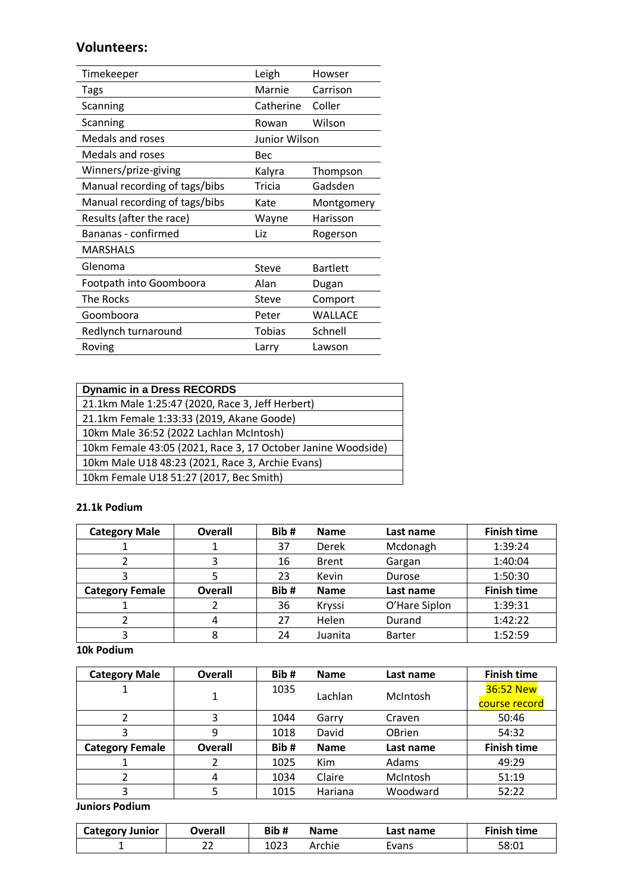### **Volunteers:**

| Timekeeper                    | Leigh         | Howser          |
|-------------------------------|---------------|-----------------|
| Tags                          | Marnie        | Carrison        |
| Scanning                      | Catherine     | Coller          |
| Scanning                      | Rowan         | Wilson          |
| Medals and roses              | Junior Wilson |                 |
| Medals and roses              | Bec           |                 |
| Winners/prize-giving          | Kalyra        | Thompson        |
| Manual recording of tags/bibs | Tricia        | Gadsden         |
| Manual recording of tags/bibs | Kate          | Montgomery      |
| Results (after the race)      | Wayne         | Harisson        |
| Bananas - confirmed           | Liz           | Rogerson        |
| <b>MARSHALS</b>               |               |                 |
| Glenoma                       | Steve         | <b>Bartlett</b> |
| Footpath into Goomboora       | Alan          | Dugan           |
| <b>The Rocks</b>              | <b>Steve</b>  | Comport         |
| Goomboora                     | Peter         | WALLACE         |
| Redlynch turnaround           | Tobias        | Schnell         |
| Roving                        | Larry         | Lawson          |

| <b>Dynamic in a Dress RECORDS</b>                            |
|--------------------------------------------------------------|
| 21.1km Male 1:25:47 (2020, Race 3, Jeff Herbert)             |
| 21.1km Female 1:33:33 (2019, Akane Goode)                    |
| 10km Male 36:52 (2022 Lachlan McIntosh)                      |
| 10km Female 43:05 (2021, Race 3, 17 October Janine Woodside) |
| 10km Male U18 48:23 (2021, Race 3, Archie Evans)             |
| 10km Female U18 51:27 (2017, Bec Smith)                      |

#### **21.1k Podium**

| <b>Category Male</b>   | Overall        | Bib# | <b>Name</b>  | Last name     | <b>Finish time</b> |
|------------------------|----------------|------|--------------|---------------|--------------------|
|                        |                | 37   | Derek        | Mcdonagh      | 1:39:24            |
|                        |                | 16   | <b>Brent</b> | Gargan        | 1:40:04            |
|                        |                | 23   | Kevin        | Durose        | 1:50:30            |
| <b>Category Female</b> | <b>Overall</b> | Bib# | <b>Name</b>  | Last name     | <b>Finish time</b> |
|                        |                | 36   | Kryssi       | O'Hare Siplon | 1:39:31            |
|                        |                | 27   | Helen        | Durand        | 1:42:22            |
|                        | 8              | 24   | Juanita      | <b>Barter</b> | 1:52:59            |

**10k Podium**

| <b>Category Male</b>   | <b>Overall</b> | Bib# | <b>Name</b> | Last name     | <b>Finish time</b> |
|------------------------|----------------|------|-------------|---------------|--------------------|
|                        |                | 1035 | Lachlan     | McIntosh      | 36:52 New          |
|                        |                |      |             |               | course record      |
|                        |                | 1044 | Garry       | Craven        | 50:46              |
|                        | 9              | 1018 | David       | <b>OBrien</b> | 54:32              |
| <b>Category Female</b> | Overall        | Bib# | <b>Name</b> | Last name     | <b>Finish time</b> |
|                        |                | 1025 | Kim         | Adams         | 49:29              |
|                        | 4              | 1034 | Claire      | McIntosh      | 51:19              |
|                        |                | 1015 | Hariana     | Woodward      | 52:22              |

**Juniors Podium**

| <b>Category Junior</b> | Overall | Bib# | <b>Name</b> | Last name | <b>Finish time</b> |
|------------------------|---------|------|-------------|-----------|--------------------|
|                        | ີ<br>zz | 1023 | Archie      | Evans     | 58:01              |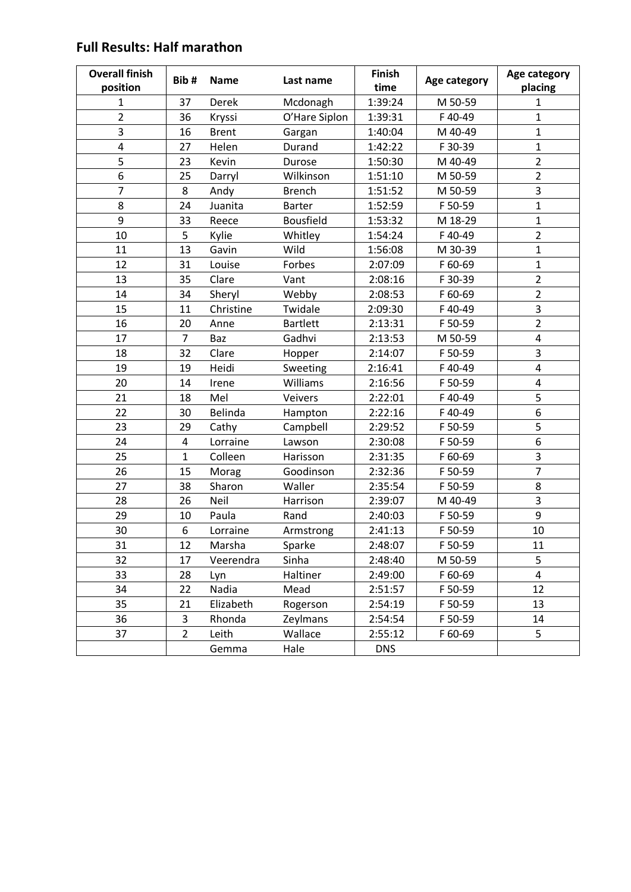#### **Overall finish position Bib # Name Last name Finish killed Finish Age category | Age category**<br> **time Age category** | **Age category placing** 1 37 Derek Mcdonagh | 1:39:24 | M 50-59 | 1 2 36 Kryssi O'Hare Siplon | 1:39:31 | F40-49 | 1 3 | 16 Brent Gargan | 1:40:04 | M 40-49 | 1 4 | 27 Helen Durand | 1:42:22 | F30-39 | 1 5 | 23 Kevin Durose | 1:50:30 | M 40-49 | 2 6 | 25 Darryl Wilkinson | 1:51:10 | M 50-59 | 2 7 8 Andy Brench 1:51:52 M 50-59 3 8 | 24 Juanita Barter | 1:52:59 | F 50-59 | 1 9 33 Reece Bousfield 1:53:32 M 18-29 1 10 5 Kylie Whitley 1:54:24 F 40-49 2 11 | 13 Gavin Wild | 1:56:08 | M 30-39 | 1 12 | 31 Louise Forbes | 2:07:09 | F60-69 | 1 13 | 35 Clare Vant | 2:08:16 | F 30-39 | 2 14 34 Sheryl Webby 2:08:53 F 60-69 2 15 | 11 Christine Twidale | 2:09:30 | F40-49 | 3 16 | 20 Anne Bartlett | 2:13:31 | F 50-59 | 2 17 | 7 Baz Gadhvi | 2:13:53 | M 50-59 | 4 18 32 Clare Hopper 2:14:07 F 50-59 3 19 | 19 Heidi Sweeting | 2:16:41 | F40-49 | 4 20 | 14 Irene Williams | 2:16:56 | F 50-59 | 4 21 18 Mel Veivers 2:22:01 F 40-49 5 22 30 Belinda Hampton 2:22:16 F 40-49 6 23 | 29 Cathy Campbell | 2:29:52 | F 50-59 | 5 24 | 4 Lorraine Lawson | 2:30:08 | F 50-59 | 6 25 | 1 Colleen Harisson | 2:31:35 | F60-69 | 3 26 | 15 Morag Goodinson | 2:32:36 | F 50-59 | 7 27 | 38 Sharon Waller | 2:35:54 | F 50-59 | 8 28 26 Neil Harrison 2:39:07 M 40-49 3 29 10 Paula Rand 2:40:03 F 50-59 9 30 | 6 Lorraine Armstrong | 2:41:13 | F 50-59 | 10 31 12 Marsha Sparke 2:48:07 F 50-59 11 32 17 Veerendra Sinha 2:48:40 M 50-59 5 33 28 Lyn Haltiner 2:49:00 F 60-69 4 34 22 Nadia Mead 2:51:57 F 50-59 12 35 | 21 Elizabeth Rogerson | 2:54:19 | F 50-59 | 13 36 | 3 Rhonda Zeylmans | 2:54:54 | F 50-59 | 14 37 | 2 Leith Wallace | 2:55:12 | F60-69 | 5 Gemma Hale DNS

# **Full Results: Half marathon**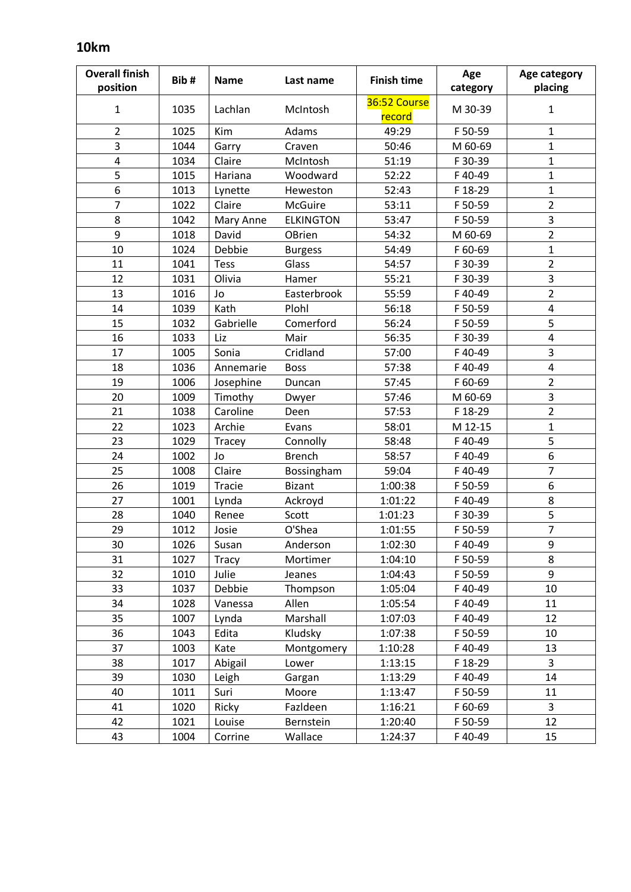# **10km**

| <b>Overall finish</b>   | Bib# | <b>Name</b>  | Last name        | <b>Finish time</b>     | Age      | Age category            |
|-------------------------|------|--------------|------------------|------------------------|----------|-------------------------|
| position                |      |              |                  |                        | category | placing                 |
| $\mathbf{1}$            | 1035 | Lachlan      | McIntosh         | 36:52 Course<br>record | M 30-39  | $\mathbf{1}$            |
| $\overline{2}$          | 1025 | Kim          | Adams            | 49:29                  | F 50-59  | $\mathbf{1}$            |
| 3                       | 1044 | Garry        | Craven           | 50:46                  | M 60-69  | $\mathbf{1}$            |
| $\overline{\mathbf{4}}$ | 1034 | Claire       | McIntosh         | 51:19                  | F 30-39  | $\mathbf{1}$            |
| 5                       | 1015 | Hariana      | Woodward         | 52:22                  | F40-49   | $\mathbf{1}$            |
| 6                       | 1013 | Lynette      | Heweston         | 52:43                  | F 18-29  | $\mathbf{1}$            |
| $\overline{7}$          | 1022 | Claire       | <b>McGuire</b>   | 53:11                  | F 50-59  | $\overline{2}$          |
| 8                       | 1042 | Mary Anne    | <b>ELKINGTON</b> | 53:47                  | F 50-59  | $\overline{\mathbf{3}}$ |
| 9                       | 1018 | David        | OBrien           | 54:32                  | M 60-69  | $\overline{2}$          |
| 10                      | 1024 | Debbie       | <b>Burgess</b>   | 54:49                  | F 60-69  | $\mathbf{1}$            |
| 11                      | 1041 | <b>Tess</b>  | Glass            | 54:57                  | F 30-39  | $\overline{2}$          |
| 12                      | 1031 | Olivia       | Hamer            | 55:21                  | F 30-39  | $\overline{\mathbf{3}}$ |
| 13                      | 1016 | Jo           | Easterbrook      | 55:59                  | F40-49   | $\overline{2}$          |
| 14                      | 1039 | Kath         | Plohl            | 56:18                  | F 50-59  | $\overline{\mathbf{4}}$ |
| 15                      | 1032 | Gabrielle    | Comerford        | 56:24                  | F 50-59  | 5                       |
| 16                      | 1033 | Liz          | Mair             | 56:35                  | F 30-39  | $\pmb{4}$               |
| 17                      | 1005 | Sonia        | Cridland         | 57:00                  | F40-49   | 3                       |
| 18                      | 1036 | Annemarie    | <b>Boss</b>      | 57:38                  | F40-49   | $\pmb{4}$               |
| 19                      | 1006 | Josephine    | Duncan           | 57:45                  | F 60-69  | $\overline{2}$          |
| 20                      | 1009 | Timothy      | Dwyer            | 57:46                  | M 60-69  | 3                       |
| 21                      | 1038 | Caroline     | Deen             | 57:53                  | F 18-29  | $\overline{2}$          |
| 22                      | 1023 | Archie       | Evans            | 58:01                  | M 12-15  | $\mathbf{1}$            |
| 23                      | 1029 | Tracey       | Connolly         | 58:48                  | F40-49   | 5                       |
| 24                      | 1002 | Jo           | <b>Brench</b>    | 58:57                  | F40-49   | $\boldsymbol{6}$        |
| 25                      | 1008 | Claire       | Bossingham       | 59:04                  | F40-49   | $\overline{7}$          |
| 26                      | 1019 | Tracie       | <b>Bizant</b>    | 1:00:38                | F 50-59  | 6                       |
| 27                      | 1001 | Lynda        | Ackroyd          | 1:01:22                | F40-49   | $\bf 8$                 |
| 28                      | 1040 | Renee        | Scott            | 1:01:23                | F 30-39  | 5                       |
| 29                      | 1012 | Josie        | O'Shea           | 1:01:55                | F 50-59  | $\overline{7}$          |
| 30                      | 1026 | Susan        | Anderson         | 1:02:30                | F40-49   | 9                       |
| 31                      | 1027 | <b>Tracy</b> | Mortimer         | 1:04:10                | F 50-59  | 8                       |
| 32                      | 1010 | Julie        | Jeanes           | 1:04:43                | F 50-59  | 9                       |
| 33                      | 1037 | Debbie       | Thompson         | 1:05:04                | F40-49   | 10                      |
| 34                      | 1028 | Vanessa      | Allen            | 1:05:54                | F40-49   | 11                      |
| 35                      | 1007 | Lynda        | Marshall         | 1:07:03                | F40-49   | 12                      |
| 36                      | 1043 | Edita        | Kludsky          | 1:07:38                | F 50-59  | 10                      |
| 37                      | 1003 | Kate         | Montgomery       | 1:10:28                | F40-49   | 13                      |
| 38                      | 1017 | Abigail      | Lower            | 1:13:15                | F 18-29  | 3                       |
| 39                      | 1030 | Leigh        | Gargan           | 1:13:29                | F40-49   | 14                      |
| 40                      | 1011 | Suri         | Moore            | 1:13:47                | F 50-59  | 11                      |
| 41                      | 1020 | Ricky        | Fazldeen         | 1:16:21                | F 60-69  | 3                       |
| 42                      | 1021 | Louise       | Bernstein        | 1:20:40                | F 50-59  | 12                      |
| 43                      | 1004 | Corrine      | Wallace          | 1:24:37                | F40-49   | 15                      |